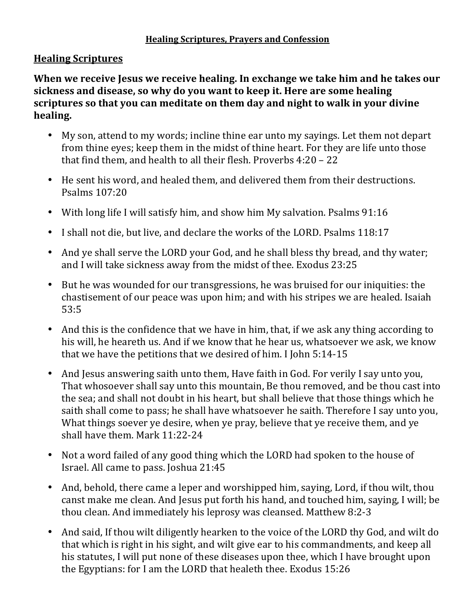# **Healing Scriptures**

**When we receive Jesus we receive healing. In exchange we take him and he takes our** sickness and disease, so why do you want to keep it. Here are some healing scriptures so that you can meditate on them day and night to walk in your divine **healing.**

- My son, attend to my words; incline thine ear unto my sayings. Let them not depart from thine eyes; keep them in the midst of thine heart. For they are life unto those that find them, and health to all their flesh. Proverbs  $4:20 - 22$
- He sent his word, and healed them, and delivered them from their destructions. Psalms 107:20
- With long life I will satisfy him, and show him My salvation. Psalms 91:16
- I shall not die, but live, and declare the works of the LORD. Psalms 118:17
- And ye shall serve the LORD your God, and he shall bless thy bread, and thy water; and I will take sickness away from the midst of thee. Exodus 23:25
- But he was wounded for our transgressions, he was bruised for our iniquities: the chastisement of our peace was upon him; and with his stripes we are healed. Isaiah 53:5
- And this is the confidence that we have in him, that, if we ask any thing according to his will, he heareth us. And if we know that he hear us, whatsoever we ask, we know that we have the petitions that we desired of him. I John  $5:14-15$
- And Jesus answering saith unto them, Have faith in God. For verily I say unto you, That whosoever shall say unto this mountain, Be thou removed, and be thou cast into the sea; and shall not doubt in his heart, but shall believe that those things which he saith shall come to pass; he shall have whatsoever he saith. Therefore I say unto you, What things soever ye desire, when ye pray, believe that ye receive them, and ye shall have them. Mark 11:22-24
- Not a word failed of any good thing which the LORD had spoken to the house of Israel. All came to pass. Joshua 21:45
- And, behold, there came a leper and worshipped him, saying, Lord, if thou wilt, thou canst make me clean. And Jesus put forth his hand, and touched him, saying, I will; be thou clean. And immediately his leprosy was cleansed. Matthew 8:2-3
- And said, If thou wilt diligently hearken to the voice of the LORD thy God, and wilt do that which is right in his sight, and wilt give ear to his commandments, and keep all his statutes, I will put none of these diseases upon thee, which I have brought upon the Egyptians: for I am the LORD that healeth thee. Exodus  $15:26$